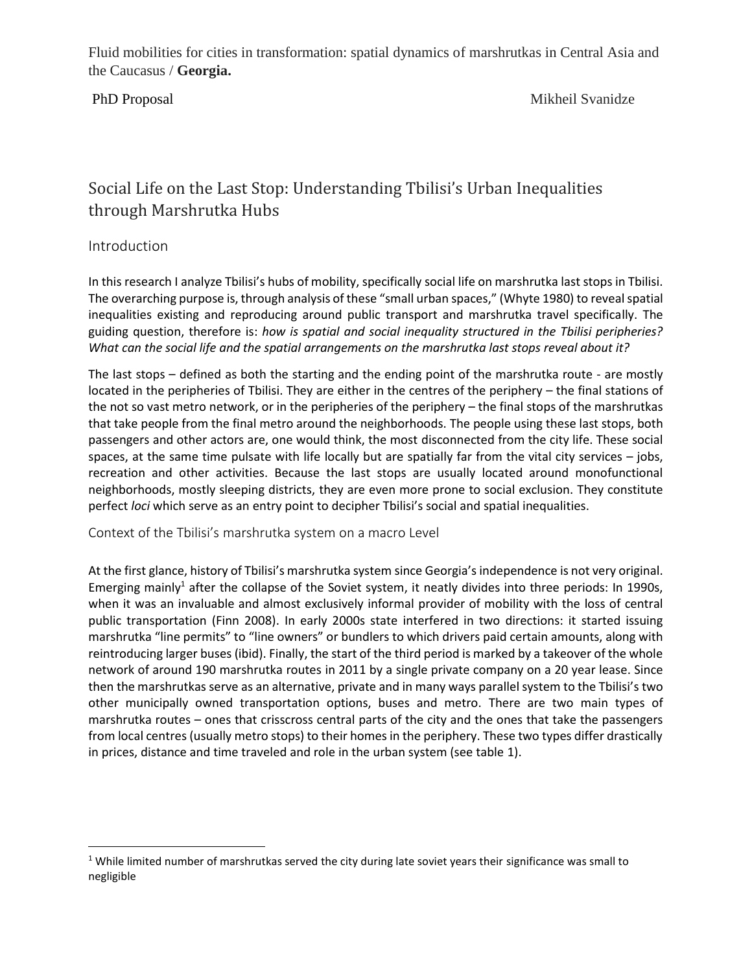PhD Proposal Mikheil Svanidze

# Social Life on the Last Stop: Understanding Tbilisi's Urban Inequalities through Marshrutka Hubs

## Introduction

In this research I analyze Tbilisi's hubs of mobility, specifically social life on marshrutka last stops in Tbilisi. The overarching purpose is, through analysis of these "small urban spaces," (Whyte 1980) to reveal spatial inequalities existing and reproducing around public transport and marshrutka travel specifically. The guiding question, therefore is: *how is spatial and social inequality structured in the Tbilisi peripheries? What can the social life and the spatial arrangements on the marshrutka last stops reveal about it?*

The last stops – defined as both the starting and the ending point of the marshrutka route - are mostly located in the peripheries of Tbilisi. They are either in the centres of the periphery – the final stations of the not so vast metro network, or in the peripheries of the periphery – the final stops of the marshrutkas that take people from the final metro around the neighborhoods. The people using these last stops, both passengers and other actors are, one would think, the most disconnected from the city life. These social spaces, at the same time pulsate with life locally but are spatially far from the vital city services – jobs, recreation and other activities. Because the last stops are usually located around monofunctional neighborhoods, mostly sleeping districts, they are even more prone to social exclusion. They constitute perfect *loci* which serve as an entry point to decipher Tbilisi's social and spatial inequalities.

Context of the Tbilisi's marshrutka system on a macro Level

At the first glance, history of Tbilisi's marshrutka system since Georgia's independence is not very original. Emerging mainly<sup>1</sup> after the collapse of the Soviet system, it neatly divides into three periods: In 1990s, when it was an invaluable and almost exclusively informal provider of mobility with the loss of central public transportation (Finn 2008). In early 2000s state interfered in two directions: it started issuing marshrutka "line permits" to "line owners" or bundlers to which drivers paid certain amounts, along with reintroducing larger buses (ibid). Finally, the start of the third period is marked by a takeover of the whole network of around 190 marshrutka routes in 2011 by a single private company on a 20 year lease. Since then the marshrutkas serve as an alternative, private and in many ways parallel system to the Tbilisi's two other municipally owned transportation options, buses and metro. There are two main types of marshrutka routes – ones that crisscross central parts of the city and the ones that take the passengers from local centres (usually metro stops) to their homes in the periphery. These two types differ drastically in prices, distance and time traveled and role in the urban system (see table 1).

 $1$  While limited number of marshrutkas served the city during late soviet years their significance was small to negligible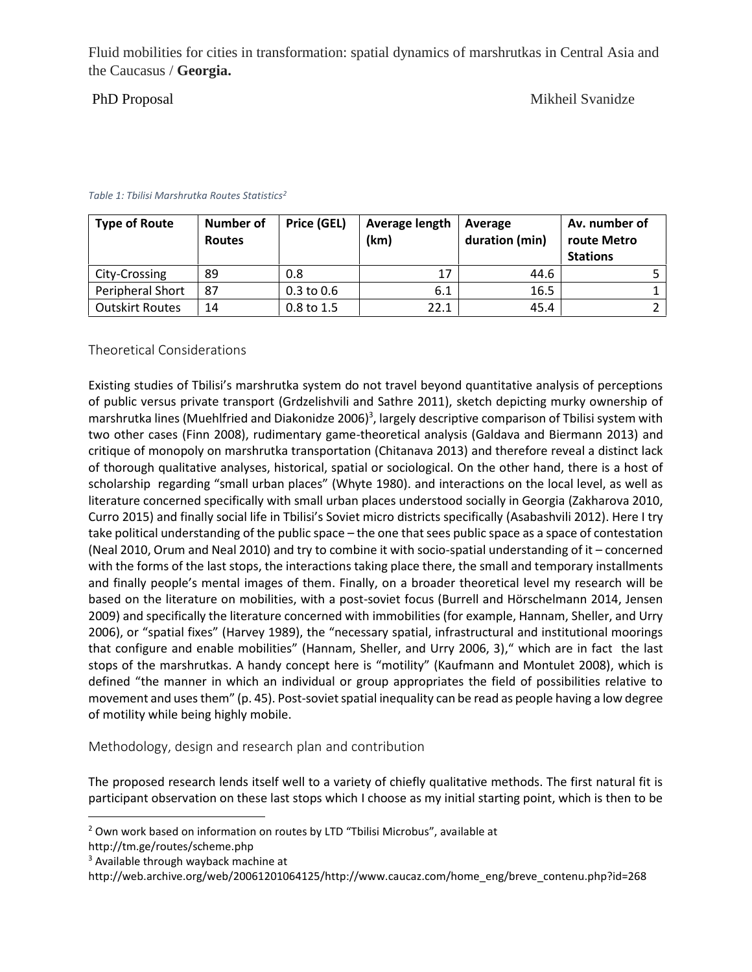PhD Proposal Mikheil Svanidze

| <b>Type of Route</b>   | <b>Number of</b><br><b>Routes</b> | Price (GEL)    | Average length<br>(km) | Average<br>duration (min) | Av. number of<br>route Metro<br><b>Stations</b> |
|------------------------|-----------------------------------|----------------|------------------------|---------------------------|-------------------------------------------------|
| City-Crossing          | 89                                | 0.8            |                        | 44.6                      |                                                 |
| Peripheral Short       | 87                                | $0.3$ to $0.6$ | 6.1                    | 16.5                      |                                                 |
| <b>Outskirt Routes</b> | 14                                | $0.8$ to 1.5   | 22.1                   | 45.4                      |                                                 |

### *Table 1: Tbilisi Marshrutka Routes Statistics<sup>2</sup>*

### Theoretical Considerations

Existing studies of Tbilisi's marshrutka system do not travel beyond quantitative analysis of perceptions of public versus private transport (Grdzelishvili and Sathre 2011), sketch depicting murky ownership of marshrutka lines (Muehlfried and Diakonidze 2006)<sup>3</sup>, largely descriptive comparison of Tbilisi system with two other cases (Finn 2008), rudimentary game-theoretical analysis (Galdava and Biermann 2013) and critique of monopoly on marshrutka transportation (Chitanava 2013) and therefore reveal a distinct lack of thorough qualitative analyses, historical, spatial or sociological. On the other hand, there is a host of scholarship regarding "small urban places" (Whyte 1980). and interactions on the local level, as well as literature concerned specifically with small urban places understood socially in Georgia (Zakharova 2010, Curro 2015) and finally social life in Tbilisi's Soviet micro districts specifically (Asabashvili 2012). Here I try take political understanding of the public space – the one that sees public space as a space of contestation (Neal 2010, Orum and Neal 2010) and try to combine it with socio-spatial understanding of it – concerned with the forms of the last stops, the interactions taking place there, the small and temporary installments and finally people's mental images of them. Finally, on a broader theoretical level my research will be based on the literature on mobilities, with a post-soviet focus (Burrell and Hörschelmann 2014, Jensen 2009) and specifically the literature concerned with immobilities (for example, Hannam, Sheller, and Urry 2006), or "spatial fixes" (Harvey 1989), the "necessary spatial, infrastructural and institutional moorings that configure and enable mobilities" (Hannam, Sheller, and Urry 2006, 3)," which are in fact the last stops of the marshrutkas. A handy concept here is "motility" (Kaufmann and Montulet 2008), which is defined "the manner in which an individual or group appropriates the field of possibilities relative to movement and uses them" (p. 45). Post-soviet spatial inequality can be read as people having a low degree of motility while being highly mobile.

Methodology, design and research plan and contribution

The proposed research lends itself well to a variety of chiefly qualitative methods. The first natural fit is participant observation on these last stops which I choose as my initial starting point, which is then to be

<sup>&</sup>lt;sup>2</sup> Own work based on information on routes by LTD "Tbilisi Microbus", available at

http://tm.ge/routes/scheme.php

<sup>&</sup>lt;sup>3</sup> Available through wayback machine at

http://web.archive.org/web/20061201064125/http://www.caucaz.com/home\_eng/breve\_contenu.php?id=268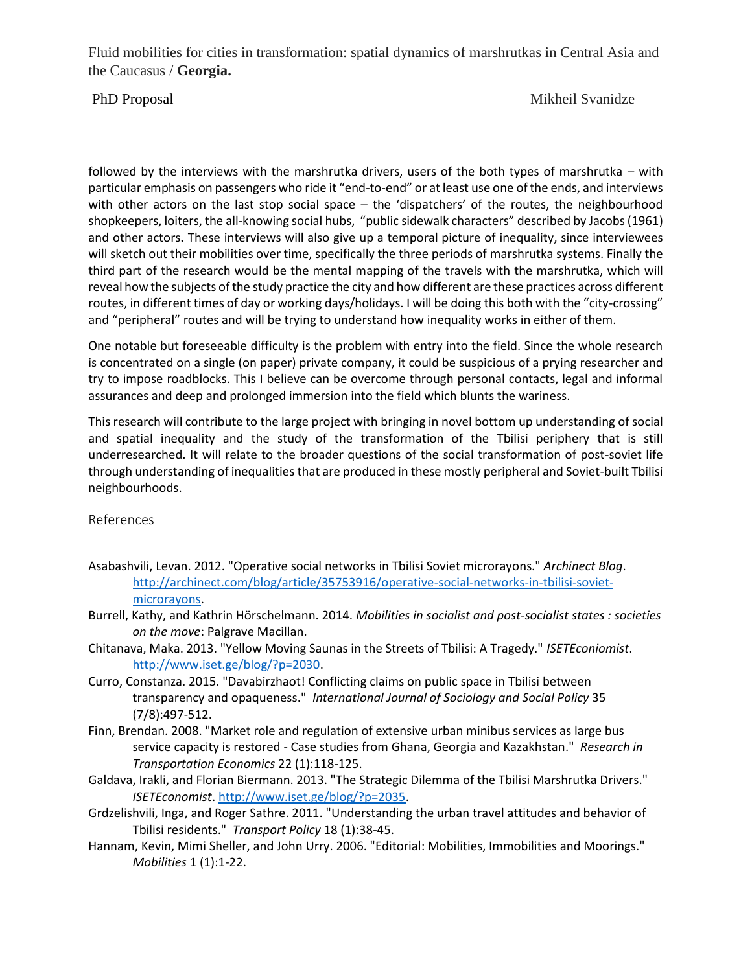PhD Proposal Mikheil Svanidze

followed by the interviews with the marshrutka drivers, users of the both types of marshrutka – with particular emphasis on passengers who ride it "end-to-end" or at least use one of the ends, and interviews with other actors on the last stop social space – the 'dispatchers' of the routes, the neighbourhood shopkeepers, loiters, the all-knowing social hubs, "public sidewalk characters" described by Jacobs(1961) and other actors**.** These interviews will also give up a temporal picture of inequality, since interviewees will sketch out their mobilities over time, specifically the three periods of marshrutka systems. Finally the third part of the research would be the mental mapping of the travels with the marshrutka, which will reveal how the subjects of the study practice the city and how different are these practices across different routes, in different times of day or working days/holidays. I will be doing this both with the "city-crossing" and "peripheral" routes and will be trying to understand how inequality works in either of them.

One notable but foreseeable difficulty is the problem with entry into the field. Since the whole research is concentrated on a single (on paper) private company, it could be suspicious of a prying researcher and try to impose roadblocks. This I believe can be overcome through personal contacts, legal and informal assurances and deep and prolonged immersion into the field which blunts the wariness.

This research will contribute to the large project with bringing in novel bottom up understanding of social and spatial inequality and the study of the transformation of the Tbilisi periphery that is still underresearched. It will relate to the broader questions of the social transformation of post-soviet life through understanding of inequalities that are produced in these mostly peripheral and Soviet-built Tbilisi neighbourhoods.

References

- Asabashvili, Levan. 2012. "Operative social networks in Tbilisi Soviet microrayons." *Archinect Blog*. http://archinect.com/blog/article/35753916/operative-social-networks-in-tbilisi-soviet microrayons.
- Burrell, Kathy, and Kathrin Hörschelmann. 2014. *Mobilities in socialist and post-socialist states : societies on the move*: Palgrave Macillan.
- Chitanava, Maka. 2013. "Yellow Moving Saunas in the Streets of Tbilisi: A Tragedy." *ISETEconiomist*. http://www.iset.ge/blog/?p=2030.
- Curro, Constanza. 2015. "Davabirzhaot! Conflicting claims on public space in Tbilisi between transparency and opaqueness." *International Journal of Sociology and Social Policy* 35 (7/8):497-512.
- Finn, Brendan. 2008. "Market role and regulation of extensive urban minibus services as large bus service capacity is restored - Case studies from Ghana, Georgia and Kazakhstan." *Research in Transportation Economics* 22 (1):118-125.
- Galdava, Irakli, and Florian Biermann. 2013. "The Strategic Dilemma of the Tbilisi Marshrutka Drivers." *ISETEconomist*. http://www.iset.ge/blog/?p=2035.
- Grdzelishvili, Inga, and Roger Sathre. 2011. "Understanding the urban travel attitudes and behavior of Tbilisi residents." *Transport Policy* 18 (1):38-45.
- Hannam, Kevin, Mimi Sheller, and John Urry. 2006. "Editorial: Mobilities, Immobilities and Moorings." *Mobilities* 1 (1):1-22.